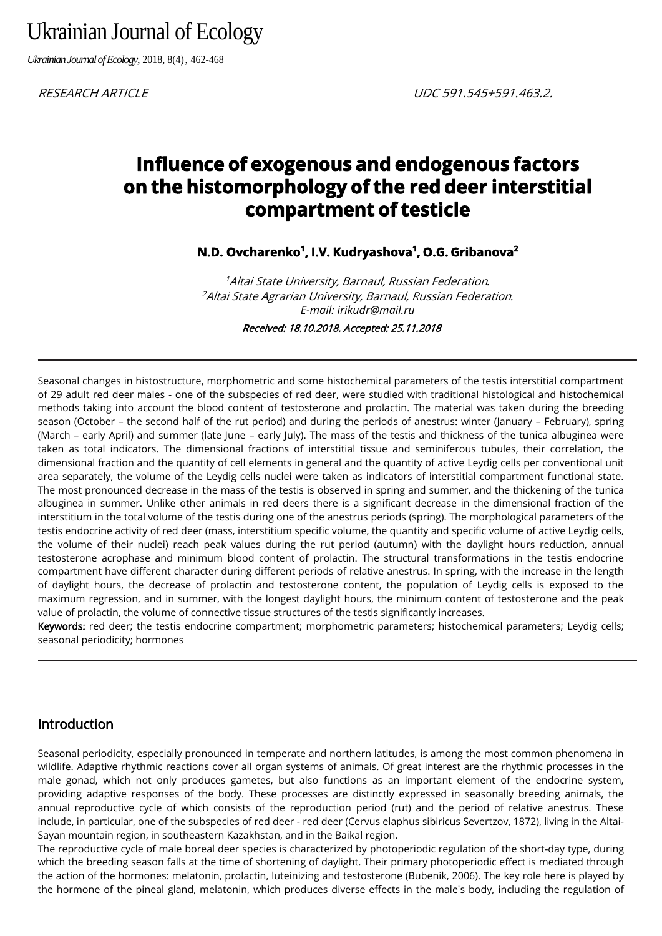Ukrainian Journal of Ecology

*Ukrainian Journal of Ecology,* 2018, 8(4), 462-468

# **Influence of exogenous and endogenous factors on the histomorphology of the red deer interstitial compartment of testicle**

**N.D. Ovcharenko<sup>1</sup> , I.V. Kudryashova<sup>1</sup> , O.G. Gribanova<sup>2</sup>**

<sup>1</sup>Altai State University, Barnaul, Russian Federation*.* <sup>2</sup>Altai State Agrarian University, Barnaul, Russian Federation*. E-mail: irikudr@mail.ru* 

Received: 18.10.2018. Accepted: 25.11.2018

Seasonal changes in histostructure, morphometric and some histochemical parameters of the testis interstitial compartment of 29 adult red deer males - one of the subspecies of red deer, were studied with traditional histological and histochemical methods taking into account the blood content of testosterone and prolactin. The material was taken during the breeding season (October – the second half of the rut period) and during the periods of anestrus: winter (January – February), spring (March – early April) and summer (late June – early July). The mass of the testis and thickness of the tunica albuginea were taken as total indicators. The dimensional fractions of interstitial tissue and seminiferous tubules, their correlation, the dimensional fraction and the quantity of cell elements in general and the quantity of active Leydig cells per conventional unit area separately, the volume of the Leydig cells nuclei were taken as indicators of interstitial compartment functional state. The most pronounced decrease in the mass of the testis is observed in spring and summer, and the thickening of the tunica albuginea in summer. Unlike other animals in red deers there is a significant decrease in the dimensional fraction of the interstitium in the total volume of the testis during one of the anestrus periods (spring). The morphological parameters of the testis endocrine activity of red deer (mass, interstitium specific volume, the quantity and specific volume of active Leydig cells, the volume of their nuclei) reach peak values during the rut period (autumn) with the daylight hours reduction, annual testosterone acrophase and minimum blood content of prolactin. The structural transformations in the testis endocrine compartment have different character during different periods of relative anestrus. In spring, with the increase in the length of daylight hours, the decrease of prolactin and testosterone content, the population of Leydig cells is exposed to the maximum regression, and in summer, with the longest daylight hours, the minimum content of testosterone and the peak value of prolactin, the volume of connective tissue structures of the testis significantly increases.

Keywords: red deer; the testis endocrine compartment; morphometric parameters; histochemical parameters; Leydig cells; seasonal periodicity; hormones

#### Introduction

Seasonal periodicity, especially pronounced in temperate and northern latitudes, is among the most common phenomena in wildlife. Adaptive rhythmic reactions cover all organ systems of animals. Of great interest are the rhythmic processes in the male gonad, which not only produces gametes, but also functions as an important element of the endocrine system, providing adaptive responses of the body. These processes are distinctly expressed in seasonally breeding animals, the annual reproductive cycle of which consists of the reproduction period (rut) and the period of relative anestrus. These include, in particular, one of the subspecies of red deer - red deer (Cervus elaphus sibiricus Severtzov, 1872), living in the Altai-Sayan mountain region, in southeastern Kazakhstan, and in the Baikal region.

The reproductive cycle of male boreal deer species is characterized by photoperiodic regulation of the short-day type, during which the breeding season falls at the time of shortening of daylight. Their primary photoperiodic effect is mediated through the action of the hormones: melatonin, prolactin, luteinizing and testosterone (Bubenik, 2006). The key role here is played by the hormone of the pineal gland, melatonin, which produces diverse effects in the male's body, including the regulation of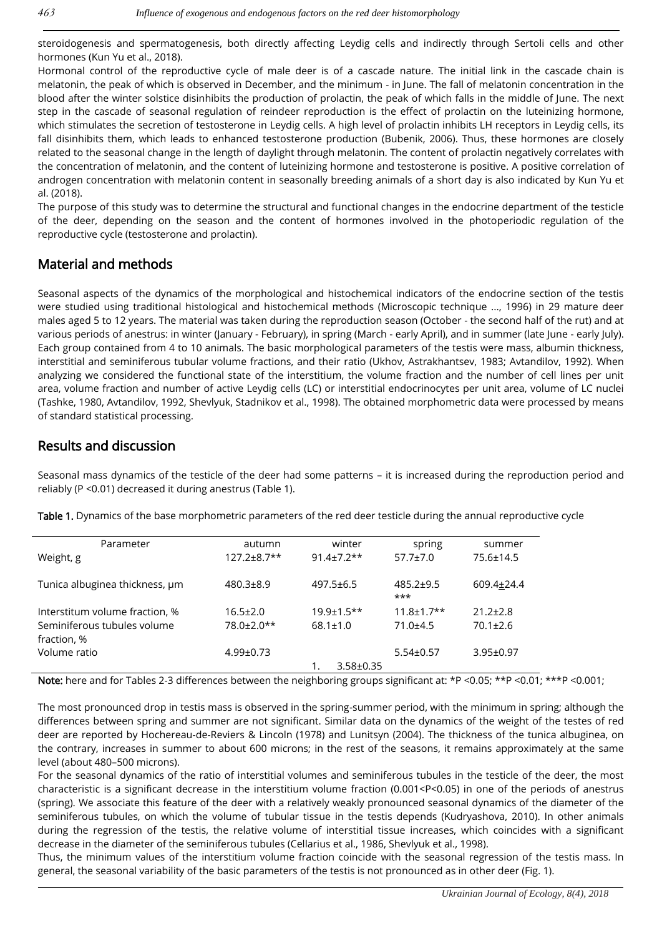steroidogenesis and spermatogenesis, both directly affecting Leydig cells and indirectly through Sertoli cells and other hormones (Kun Yu et al., 2018).

Hormonal control of the reproductive cycle of male deer is of a cascade nature. The initial link in the cascade chain is melatonin, the peak of which is observed in December, and the minimum - in June. The fall of melatonin concentration in the blood after the winter solstice disinhibits the production of prolactin, the peak of which falls in the middle of June. The next step in the cascade of seasonal regulation of reindeer reproduction is the effect of prolactin on the luteinizing hormone, which stimulates the secretion of testosterone in Leydig cells. A high level of prolactin inhibits LH receptors in Leydig cells, its fall disinhibits them, which leads to enhanced testosterone production (Bubenik, 2006). Thus, these hormones are closely related to the seasonal change in the length of daylight through melatonin. The content of prolactin negatively correlates with the concentration of melatonin, and the content of luteinizing hormone and testosterone is positive. A positive correlation of androgen concentration with melatonin content in seasonally breeding animals of a short day is also indicated by Kun Yu et al. (2018).

The purpose of this study was to determine the structural and functional changes in the endocrine department of the testicle of the deer, depending on the season and the content of hormones involved in the photoperiodic regulation of the reproductive cycle (testosterone and prolactin).

### Material and methods

Seasonal aspects of the dynamics of the morphological and histochemical indicators of the endocrine section of the testis were studied using traditional histological and histochemical methods (Microscopic technique ..., 1996) in 29 mature deer males aged 5 to 12 years. The material was taken during the reproduction season (October - the second half of the rut) and at various periods of anestrus: in winter (January - February), in spring (March - early April), and in summer (late June - early July). Each group contained from 4 to 10 animals. The basic morphological parameters of the testis were mass, albumin thickness, interstitial and seminiferous tubular volume fractions, and their ratio (Ukhov, Astrakhantsev, 1983; Avtandilov, 1992). When analyzing we considered the functional state of the interstitium, the volume fraction and the number of cell lines per unit area, volume fraction and number of active Leydig cells (LC) or interstitial endocrinocytes per unit area, volume of LC nuclei (Tashke, 1980, Avtandilov, 1992, Shevlyuk, Stadnikov et al., 1998). The obtained morphometric data were processed by means of standard statistical processing.

#### Results and discussion

Seasonal mass dynamics of the testicle of the deer had some patterns – it is increased during the reproduction period and reliably (P <0.01) decreased it during anestrus (Table 1).

| Parameter                      | autumn             | winter            | spring                   | summer          |
|--------------------------------|--------------------|-------------------|--------------------------|-----------------|
| Weight, g                      | $127.2 \pm 8.7$ ** | $91.4 \pm 7.2$ ** | $57.7 \pm 7.0$           | 75.6±14.5       |
| Tunica albuginea thickness, um | $480.3 \pm 8.9$    | $497.5 \pm 6.5$   | $485.2 \pm 9.5$<br>$***$ | 609.4±24.4      |
| Interstitum volume fraction, % | $16.5 \pm 2.0$     | $19.9 \pm 1.5$ ** | $11.8 \pm 1.7$ **        | $21.2 \pm 2.8$  |
| Seminiferous tubules volume    | 78.0±2.0**         | $68.1 \pm 1.0$    | $71.0 + 4.5$             | $70.1 \pm 2.6$  |
| fraction, %                    |                    |                   |                          |                 |
| Volume ratio                   | $4.99 \pm 0.73$    |                   | $5.54 \pm 0.57$          | $3.95 \pm 0.97$ |
|                                |                    | $3.58 \pm 0.35$   |                          |                 |
|                                |                    |                   |                          |                 |

Table 1. Dynamics of the base morphometric parameters of the red deer testicle during the annual reproductive cycle

Note: here and for Tables 2-3 differences between the neighboring groups significant at: \*P <0.05; \*\*P <0.01; \*\*\*P <0.001;

The most pronounced drop in testis mass is observed in the spring-summer period, with the minimum in spring; although the differences between spring and summer are not significant. Similar data on the dynamics of the weight of the testes of red deer are reported by Hochereau-de-Reviers & Lincoln (1978) and Lunitsyn (2004). The thickness of the tunica albuginea, on the contrary, increases in summer to about 600 microns; in the rest of the seasons, it remains approximately at the same level (about 480–500 microns).

For the seasonal dynamics of the ratio of interstitial volumes and seminiferous tubules in the testicle of the deer, the most characteristic is a significant decrease in the interstitium volume fraction (0.001<P<0.05) in one of the periods of anestrus (spring). We associate this feature of the deer with a relatively weakly pronounced seasonal dynamics of the diameter of the seminiferous tubules, on which the volume of tubular tissue in the testis depends (Kudryashova, 2010). In other animals during the regression of the testis, the relative volume of interstitial tissue increases, which coincides with a significant decrease in the diameter of the seminiferous tubules (Cellarius et al., 1986, Shevlyuk et al., 1998).

Thus, the minimum values of the interstitium volume fraction coincide with the seasonal regression of the testis mass. In general, the seasonal variability of the basic parameters of the testis is not pronounced as in other deer (Fig. 1).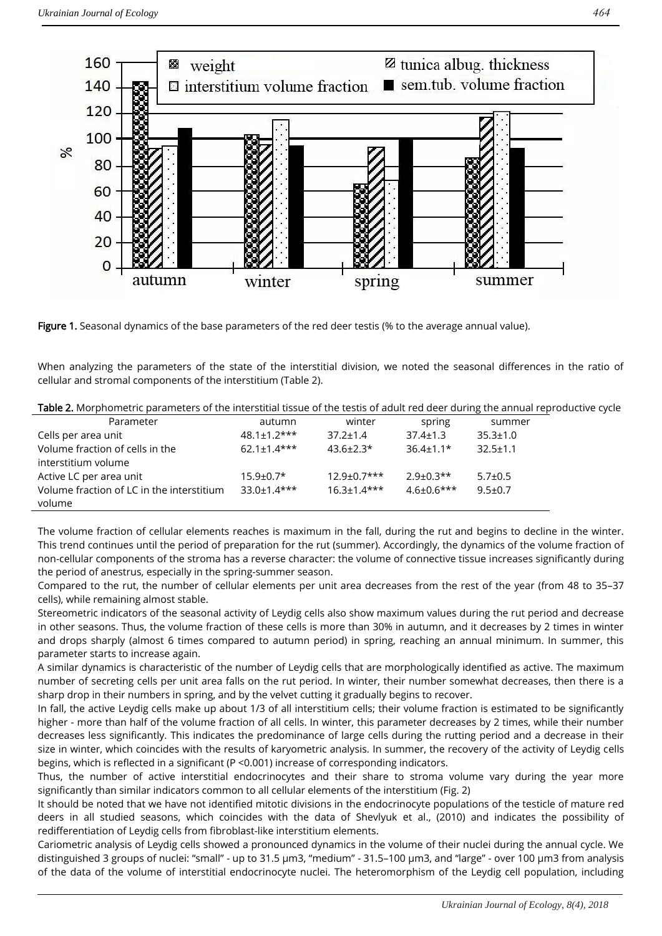

Figure 1. Seasonal dynamics of the base parameters of the red deer testis (% to the average annual value).

When analyzing the parameters of the state of the interstitial division, we noted the seasonal differences in the ratio of cellular and stromal components of the interstitium (Table 2).

| Table 2. Morphometric parameters of the interstitial tissue of the testis of adult red deer during the annual reproductive cycle |
|----------------------------------------------------------------------------------------------------------------------------------|
|----------------------------------------------------------------------------------------------------------------------------------|

| Parameter                                 | autumn             | winter             | spring         | summer         |
|-------------------------------------------|--------------------|--------------------|----------------|----------------|
| Cells per area unit                       | $48.1 \pm 1.2$ *** | $37.2 \pm 1.4$     | $37.4 \pm 1.3$ | $35.3 \pm 1.0$ |
| Volume fraction of cells in the           | $62.1 + 1.4$ ***   | $43.6 \pm 2.3*$    | $36.4 + 1.1*$  | $32.5 \pm 1.1$ |
| interstitium volume                       |                    |                    |                |                |
| Active LC per area unit                   | $15.9 \pm 0.7*$    | $12.9 \pm 0.7$ *** | $2.9 + 0.3**$  | $5.7 \pm 0.5$  |
| Volume fraction of LC in the interstitium | $33.0 \pm 1.4$ *** | $16.3 + 1.4***$    | $4.6\pm0.6***$ | $9.5 \pm 0.7$  |
| volume                                    |                    |                    |                |                |

The volume fraction of cellular elements reaches is maximum in the fall, during the rut and begins to decline in the winter. This trend continues until the period of preparation for the rut (summer). Accordingly, the dynamics of the volume fraction of non-cellular components of the stroma has a reverse character: the volume of connective tissue increases significantly during the period of anestrus, especially in the spring-summer season.

Compared to the rut, the number of cellular elements per unit area decreases from the rest of the year (from 48 to 35–37 cells), while remaining almost stable.

Stereometric indicators of the seasonal activity of Leydig cells also show maximum values during the rut period and decrease in other seasons. Thus, the volume fraction of these cells is more than 30% in autumn, and it decreases by 2 times in winter and drops sharply (almost 6 times compared to autumn period) in spring, reaching an annual minimum. In summer, this parameter starts to increase again.

A similar dynamics is characteristic of the number of Leydig cells that are morphologically identified as active. The maximum number of secreting cells per unit area falls on the rut period. In winter, their number somewhat decreases, then there is a sharp drop in their numbers in spring, and by the velvet cutting it gradually begins to recover.

In fall, the active Leydig cells make up about 1/3 of all interstitium cells; their volume fraction is estimated to be significantly higher - more than half of the volume fraction of all cells. In winter, this parameter decreases by 2 times, while their number decreases less significantly. This indicates the predominance of large cells during the rutting period and a decrease in their size in winter, which coincides with the results of karyometric analysis. In summer, the recovery of the activity of Leydig cells begins, which is reflected in a significant (P <0.001) increase of corresponding indicators.

Thus, the number of active interstitial endocrinocytes and their share to stroma volume vary during the year more significantly than similar indicators common to all cellular elements of the interstitium (Fig. 2)

It should be noted that we have not identified mitotic divisions in the endocrinocyte populations of the testicle of mature red deers in all studied seasons, which coincides with the data of Shevlyuk et al., (2010) and indicates the possibility of redifferentiation of Leydig cells from fibroblast-like interstitium elements.

Cariometric analysis of Leydig cells showed a pronounced dynamics in the volume of their nuclei during the annual cycle. We distinguished 3 groups of nuclei: "small" - up to 31.5 μm3, "medium" - 31.5–100 μm3, and "large" - over 100 μm3 from analysis of the data of the volume of interstitial endocrinocyte nuclei. The heteromorphism of the Leydig cell population, including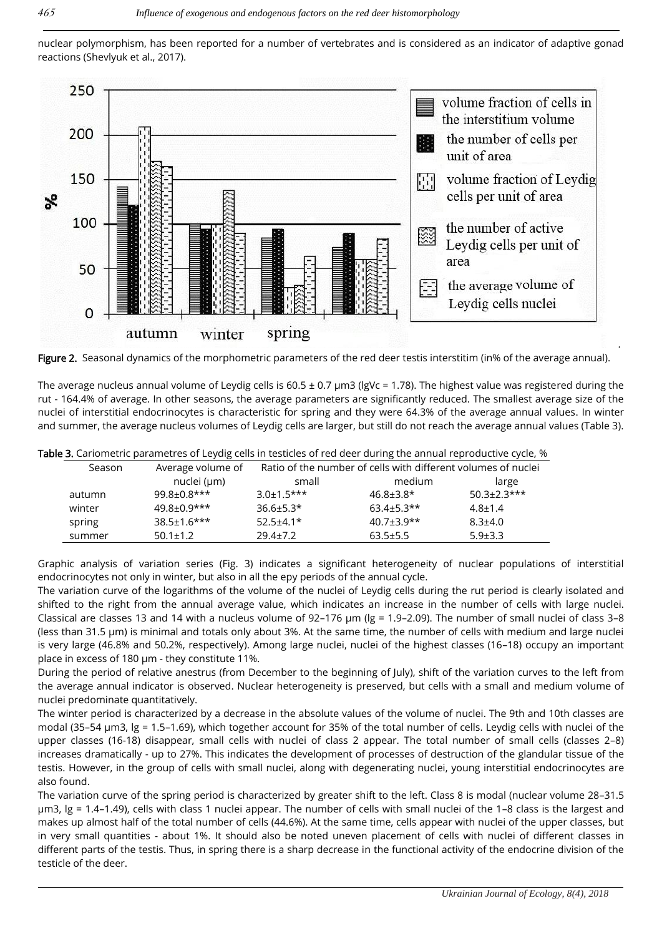nuclear polymorphism, has been reported for a number of vertebrates and is considered as an indicator of adaptive gonad reactions (Shevlyuk et al., 2017).



Figure 2. Seasonal dynamics of the morphometric parameters of the red deer testis interstitim (in% of the average annual).

The average nucleus annual volume of Leydig cells is 60.5 ± 0.7 μm3 (lgVc = 1.78). The highest value was registered during the rut - 164.4% of average. In other seasons, the average parameters are significantly reduced. The smallest average size of the nuclei of interstitial endocrinocytes is characteristic for spring and they were 64.3% of the average annual values. In winter and summer, the average nucleus volumes of Leydig cells are larger, but still do not reach the average annual values (Table 3).

|        | <b>IDIC 3.</b> Carlometric parametres or Leyaig tens in testicles or rea accritioning the annual reproductive cycle, w |                                                               |                   |                    |  |
|--------|------------------------------------------------------------------------------------------------------------------------|---------------------------------------------------------------|-------------------|--------------------|--|
| Season | Average volume of                                                                                                      | Ratio of the number of cells with different volumes of nuclei |                   |                    |  |
|        | nuclei (µm)                                                                                                            | small                                                         | medium            | large              |  |
| autumn | $99.8 \pm 0.8$ ***                                                                                                     | $3.0 \pm 1.5$ ***                                             | $46.8 \pm 3.8$ *  | $50.3 \pm 2.3$ *** |  |
| winter | $49.8 + 0.9***$                                                                                                        | $36.6 \pm 5.3*$                                               | $63.4 \pm 5.3$ ** | $4.8 \pm 1.4$      |  |
| spring | $38.5 \pm 1.6$ ***                                                                                                     | $52.5 \pm 4.1*$                                               | $40.7 + 3.9**$    | $8.3{\pm}4.0$      |  |
| summer | $50.1 \pm 1.2$                                                                                                         | $29.4 \pm 7.2$                                                | $63.5 \pm 5.5$    | $5.9 \pm 3.3$      |  |
|        |                                                                                                                        |                                                               |                   |                    |  |

Table 3. Cariometric parametres of Leydig cells in testicles of red deer during the annual reproductive cycle, %

Graphic analysis of variation series (Fig. 3) indicates a significant heterogeneity of nuclear populations of interstitial endocrinocytes not only in winter, but also in all the еру periods of the annual cycle.

The variation curve of the logarithms of the volume of the nuclei of Leydig cells during the rut period is clearly isolated and shifted to the right from the annual average value, which indicates an increase in the number of cells with large nuclei. Classical are classes 13 and 14 with a nucleus volume of 92–176 μm (lg = 1.9–2.09). The number of small nuclei of class 3–8 (less than 31.5 μm) is minimal and totals only about 3%. At the same time, the number of cells with medium and large nuclei is very large (46.8% and 50.2%, respectively). Among large nuclei, nuclei of the highest classes (16–18) occupy an important place in excess of 180 μm - they constitute 11%.

During the period of relative anestrus (from December to the beginning of July), shift of the variation curves to the left from the average annual indicator is observed. Nuclear heterogeneity is preserved, but cells with a small and medium volume of nuclei predominate quantitatively.

The winter period is characterized by a decrease in the absolute values of the volume of nuclei. The 9th and 10th classes are modal (35–54 µm3, lg = 1.5–1.69), which together account for 35% of the total number of cells. Leydig cells with nuclei of the upper classes (16-18) disappear, small cells with nuclei of class 2 appear. The total number of small cells (classes 2–8) increases dramatically - up to 27%. This indicates the development of processes of destruction of the glandular tissue of the testis. However, in the group of cells with small nuclei, along with degenerating nuclei, young interstitial endocrinocytes are also found.

The variation curve of the spring period is characterized by greater shift to the left. Class 8 is modal (nuclear volume 28–31.5 µm3, lg = 1.4–1.49), cells with class 1 nuclei appear. The number of cells with small nuclei of the 1–8 class is the largest and makes up almost half of the total number of cells (44.6%). At the same time, cells appear with nuclei of the upper classes, but in very small quantities - about 1%. It should also be noted uneven placement of cells with nuclei of different classes in different parts of the testis. Thus, in spring there is a sharp decrease in the functional activity of the endocrine division of the testicle of the deer.

.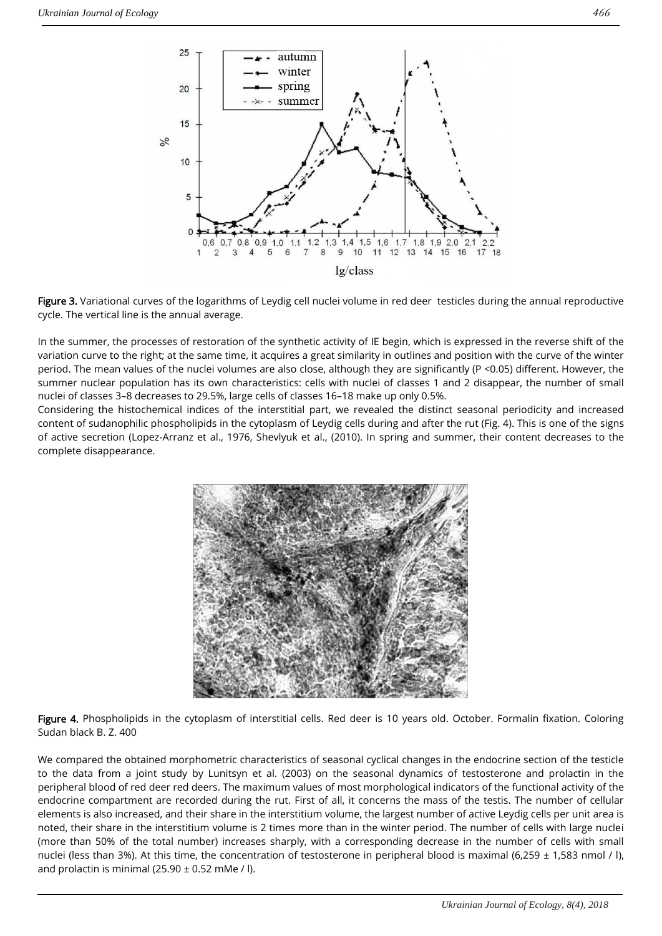

Figure 3. Variational curves of the logarithms of Leydig cell nuclei volume in red deer testicles during the annual reproductive cycle. The vertical line is the annual average.

In the summer, the processes of restoration of the synthetic activity of IE begin, which is expressed in the reverse shift of the variation curve to the right; at the same time, it acquires a great similarity in outlines and position with the curve of the winter period. The mean values of the nuclei volumes are also close, although they are significantly (P <0.05) different. However, the summer nuclear population has its own characteristics: cells with nuclei of classes 1 and 2 disappear, the number of small nuclei of classes 3–8 decreases to 29.5%, large cells of classes 16–18 make up only 0.5%.

Considering the histochemical indices of the interstitial part, we revealed the distinct seasonal periodicity and increased content of sudanophilic phospholipids in the cytoplasm of Leydig cells during and after the rut (Fig. 4). This is one of the signs of active secretion (Lopez-Arranz et al., 1976, Shevlyuk et al., (2010). In spring and summer, their content decreases to the complete disappearance.



Figure 4. Phospholipids in the cytoplasm of interstitial cells. Red deer is 10 years old. October. Formalin fixation. Coloring Sudan black B. Z. 400

We compared the obtained morphometric characteristics of seasonal cyclical changes in the endocrine section of the testicle to the data from a joint study by Lunitsyn et al. (2003) on the seasonal dynamics of testosterone and prolactin in the peripheral blood of red deer red deers. The maximum values of most morphological indicators of the functional activity of the endocrine compartment are recorded during the rut. First of all, it concerns the mass of the testis. The number of cellular elements is also increased, and their share in the interstitium volume, the largest number of active Leydig cells per unit area is noted, their share in the interstitium volume is 2 times more than in the winter period. The number of cells with large nuclei (more than 50% of the total number) increases sharply, with a corresponding decrease in the number of cells with small nuclei (less than 3%). At this time, the concentration of testosterone in peripheral blood is maximal (6,259  $\pm$  1,583 nmol / l), and prolactin is minimal (25.90  $\pm$  0.52 mMe / l).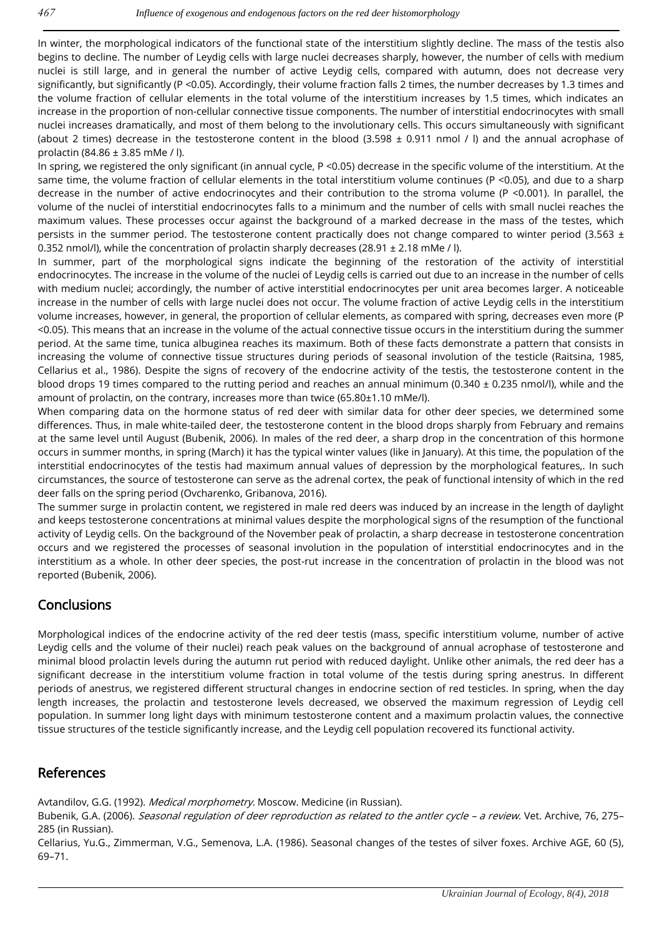In winter, the morphological indicators of the functional state of the interstitium slightly decline. The mass of the testis also begins to decline. The number of Leydig cells with large nuclei decreases sharply, however, the number of cells with medium nuclei is still large, and in general the number of active Leydig cells, compared with autumn, does not decrease very significantly, but significantly (P <0.05). Accordingly, their volume fraction falls 2 times, the number decreases by 1.3 times and the volume fraction of cellular elements in the total volume of the interstitium increases by 1.5 times, which indicates an increase in the proportion of non-cellular connective tissue components. The number of interstitial endocrinocytes with small nuclei increases dramatically, and most of them belong to the involutionary cells. This occurs simultaneously with significant (about 2 times) decrease in the testosterone content in the blood  $(3.598 \pm 0.911$  nmol / l) and the annual acrophase of prolactin (84.86 ± 3.85 mMe / l).

In spring, we registered the only significant (in annual cycle, P <0.05) decrease in the specific volume of the interstitium. At the same time, the volume fraction of cellular elements in the total interstitium volume continues (P <0.05), and due to a sharp decrease in the number of active endocrinocytes and their contribution to the stroma volume (P <0.001). In parallel, the volume of the nuclei of interstitial endocrinocytes falls to a minimum and the number of cells with small nuclei reaches the maximum values. These processes occur against the background of a marked decrease in the mass of the testes, which persists in the summer period. The testosterone content practically does not change compared to winter period (3.563  $\pm$ 0.352 nmol/l), while the concentration of prolactin sharply decreases (28.91  $\pm$  2.18 mMe / l).

In summer, part of the morphological signs indicate the beginning of the restoration of the activity of interstitial endocrinocytes. The increase in the volume of the nuclei of Leydig cells is carried out due to an increase in the number of cells with medium nuclei; accordingly, the number of active interstitial endocrinocytes per unit area becomes larger. A noticeable increase in the number of cells with large nuclei does not occur. The volume fraction of active Leydig cells in the interstitium volume increases, however, in general, the proportion of cellular elements, as compared with spring, decreases even more (P <0.05). This means that an increase in the volume of the actual connective tissue occurs in the interstitium during the summer period. At the same time, tunica albuginea reaches its maximum. Both of these facts demonstrate a pattern that consists in increasing the volume of connective tissue structures during periods of seasonal involution of the testicle (Raitsina, 1985, Cellarius et al., 1986). Despite the signs of recovery of the endocrine activity of the testis, the testosterone content in the blood drops 19 times compared to the rutting period and reaches an annual minimum ( $0.340 \pm 0.235$  nmol/l), while and the amount of prolactin, on the contrary, increases more than twice (65.80±1.10 mMe/l).

When comparing data on the hormone status of red deer with similar data for other deer species, we determined some differences. Thus, in male white-tailed deer, the testosterone content in the blood drops sharply from February and remains at the same level until August (Bubenik, 2006). In males of the red deer, a sharp drop in the concentration of this hormone occurs in summer months, in spring (March) it has the typical winter values (like in January). At this time, the population of the interstitial endocrinocytes of the testis had maximum annual values of depression by the morphological features,. In such circumstances, the source of testosterone can serve as the adrenal cortex, the peak of functional intensity of which in the red deer falls on the spring period (Ovcharenko, Gribanova, 2016).

The summer surge in prolactin content, we registered in male red deers was induced by an increase in the length of daylight and keeps testosterone concentrations at minimal values despite the morphological signs of the resumption of the functional activity of Leydig cells. On the background of the November peak of prolactin, a sharp decrease in testosterone concentration occurs and we registered the processes of seasonal involution in the population of interstitial endocrinocytes and in the interstitium as a whole. In other deer species, the post-rut increase in the concentration of prolactin in the blood was not reported (Bubenik, 2006).

## **Conclusions**

Morphological indices of the endocrine activity of the red deer testis (mass, specific interstitium volume, number of active Leydig cells and the volume of their nuclei) reach peak values on the background of annual acrophase of testosterone and minimal blood prolactin levels during the autumn rut period with reduced daylight. Unlike other animals, the red deer has a significant decrease in the interstitium volume fraction in total volume of the testis during spring anestrus. In different periods of anestrus, we registered different structural changes in endocrine section of red testicles. In spring, when the day length increases, the prolactin and testosterone levels decreased, we observed the maximum regression of Leydig cell population. In summer long light days with minimum testosterone content and a maximum prolactin values, the connective tissue structures of the testicle significantly increase, and the Leydig cell population recovered its functional activity.

#### References

Avtandilov, G.G. (1992). Medical morphometry. Moscow. Medicine (in Russian).

Bubenik, G.A. (2006). Seasonal regulation of deer reproduction as related to the antler cycle - a review. Vet. Archive, 76, 275-285 (in Russian).

Cellarius, Yu.G., Zimmerman, V.G., Semenova, L.A. (1986). Seasonal changes of the testes of silver foxes. Archive AGE, 60 (5), 69–71.